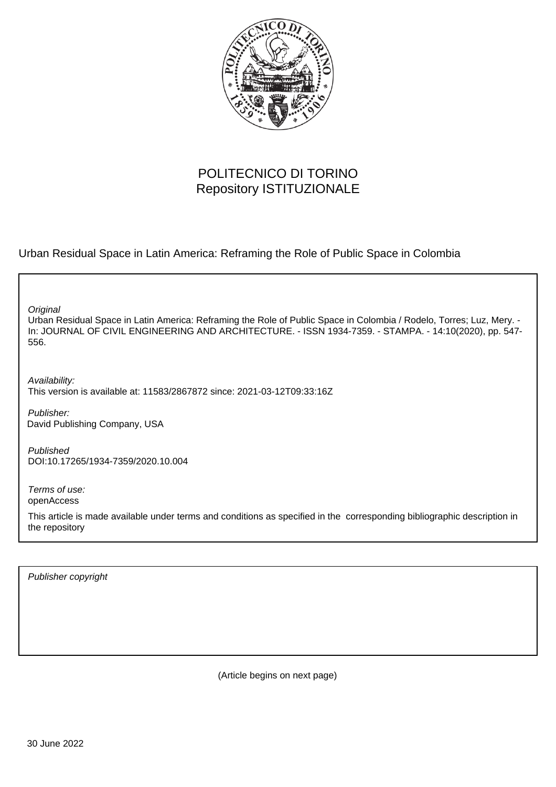

# POLITECNICO DI TORINO Repository ISTITUZIONALE

Urban Residual Space in Latin America: Reframing the Role of Public Space in Colombia

**Original** 

Urban Residual Space in Latin America: Reframing the Role of Public Space in Colombia / Rodelo, Torres; Luz, Mery. - In: JOURNAL OF CIVIL ENGINEERING AND ARCHITECTURE. - ISSN 1934-7359. - STAMPA. - 14:10(2020), pp. 547- 556.

Availability: This version is available at: 11583/2867872 since: 2021-03-12T09:33:16Z

Publisher: David Publishing Company, USA

Published DOI:10.17265/1934-7359/2020.10.004

Terms of use: openAccess

This article is made available under terms and conditions as specified in the corresponding bibliographic description in the repository

Publisher copyright

(Article begins on next page)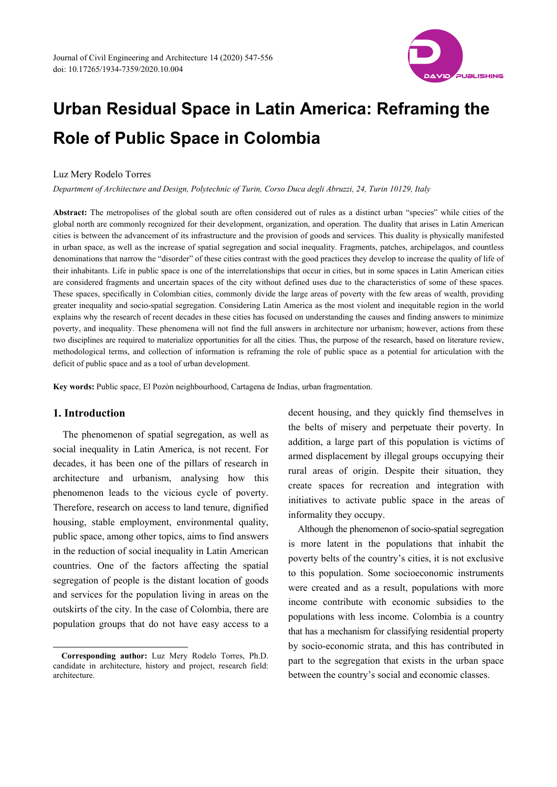

# **Urban Residual Space in Latin America: Reframing the Role of Public Space in Colombia**

#### Luz Mery Rodelo Torres

*Department of Architecture and Design, Polytechnic of Turin, Corso Duca degli Abruzzi, 24, Turin 10129, Italy* 

**Abstract:** The metropolises of the global south are often considered out of rules as a distinct urban "species" while cities of the global north are commonly recognized for their development, organization, and operation. The duality that arises in Latin American cities is between the advancement of its infrastructure and the provision of goods and services. This duality is physically manifested in urban space, as well as the increase of spatial segregation and social inequality. Fragments, patches, archipelagos, and countless denominations that narrow the "disorder" of these cities contrast with the good practices they develop to increase the quality of life of their inhabitants. Life in public space is one of the interrelationships that occur in cities, but in some spaces in Latin American cities are considered fragments and uncertain spaces of the city without defined uses due to the characteristics of some of these spaces. These spaces, specifically in Colombian cities, commonly divide the large areas of poverty with the few areas of wealth, providing greater inequality and socio-spatial segregation. Considering Latin America as the most violent and inequitable region in the world explains why the research of recent decades in these cities has focused on understanding the causes and finding answers to minimize poverty, and inequality. These phenomena will not find the full answers in architecture nor urbanism; however, actions from these two disciplines are required to materialize opportunities for all the cities. Thus, the purpose of the research, based on literature review, methodological terms, and collection of information is reframing the role of public space as a potential for articulation with the deficit of public space and as a tool of urban development.

**Key words:** Public space, El Pozòn neighbourhood, Cartagena de Indias, urban fragmentation.

#### **1. Introduction**

 $\overline{a}$ 

The phenomenon of spatial segregation, as well as social inequality in Latin America, is not recent. For decades, it has been one of the pillars of research in architecture and urbanism, analysing how this phenomenon leads to the vicious cycle of poverty. Therefore, research on access to land tenure, dignified housing, stable employment, environmental quality, public space, among other topics, aims to find answers in the reduction of social inequality in Latin American countries. One of the factors affecting the spatial segregation of people is the distant location of goods and services for the population living in areas on the outskirts of the city. In the case of Colombia, there are population groups that do not have easy access to a decent housing, and they quickly find themselves in the belts of misery and perpetuate their poverty. In addition, a large part of this population is victims of armed displacement by illegal groups occupying their rural areas of origin. Despite their situation, they create spaces for recreation and integration with initiatives to activate public space in the areas of informality they occupy.

Although the phenomenon of socio-spatial segregation is more latent in the populations that inhabit the poverty belts of the country's cities, it is not exclusive to this population. Some socioeconomic instruments were created and as a result, populations with more income contribute with economic subsidies to the populations with less income. Colombia is a country that has a mechanism for classifying residential property by socio-economic strata, and this has contributed in part to the segregation that exists in the urban space between the country's social and economic classes.

**Corresponding author:** Luz Mery Rodelo Torres, Ph.D. candidate in architecture, history and project, research field: architecture.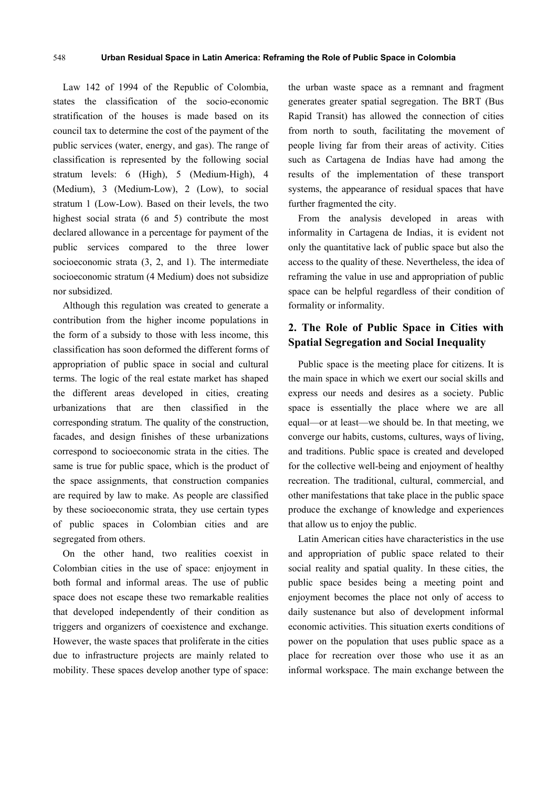Law 142 of 1994 of the Republic of Colombia, states the classification of the socio-economic stratification of the houses is made based on its council tax to determine the cost of the payment of the public services (water, energy, and gas). The range of classification is represented by the following social stratum levels: 6 (High), 5 (Medium-High), 4 (Medium), 3 (Medium-Low), 2 (Low), to social stratum 1 (Low-Low). Based on their levels, the two highest social strata (6 and 5) contribute the most declared allowance in a percentage for payment of the public services compared to the three lower socioeconomic strata (3, 2, and 1). The intermediate socioeconomic stratum (4 Medium) does not subsidize nor subsidized.

Although this regulation was created to generate a contribution from the higher income populations in the form of a subsidy to those with less income, this classification has soon deformed the different forms of appropriation of public space in social and cultural terms. The logic of the real estate market has shaped the different areas developed in cities, creating urbanizations that are then classified in the corresponding stratum. The quality of the construction, facades, and design finishes of these urbanizations correspond to socioeconomic strata in the cities. The same is true for public space, which is the product of the space assignments, that construction companies are required by law to make. As people are classified by these socioeconomic strata, they use certain types of public spaces in Colombian cities and are segregated from others.

On the other hand, two realities coexist in Colombian cities in the use of space: enjoyment in both formal and informal areas. The use of public space does not escape these two remarkable realities that developed independently of their condition as triggers and organizers of coexistence and exchange. However, the waste spaces that proliferate in the cities due to infrastructure projects are mainly related to mobility. These spaces develop another type of space: the urban waste space as a remnant and fragment generates greater spatial segregation. The BRT (Bus Rapid Transit) has allowed the connection of cities from north to south, facilitating the movement of people living far from their areas of activity. Cities such as Cartagena de Indias have had among the results of the implementation of these transport systems, the appearance of residual spaces that have further fragmented the city.

From the analysis developed in areas with informality in Cartagena de Indias, it is evident not only the quantitative lack of public space but also the access to the quality of these. Nevertheless, the idea of reframing the value in use and appropriation of public space can be helpful regardless of their condition of formality or informality.

## **2. The Role of Public Space in Cities with Spatial Segregation and Social Inequality**

Public space is the meeting place for citizens. It is the main space in which we exert our social skills and express our needs and desires as a society. Public space is essentially the place where we are all equal—or at least—we should be. In that meeting, we converge our habits, customs, cultures, ways of living, and traditions. Public space is created and developed for the collective well-being and enjoyment of healthy recreation. The traditional, cultural, commercial, and other manifestations that take place in the public space produce the exchange of knowledge and experiences that allow us to enjoy the public.

Latin American cities have characteristics in the use and appropriation of public space related to their social reality and spatial quality. In these cities, the public space besides being a meeting point and enjoyment becomes the place not only of access to daily sustenance but also of development informal economic activities. This situation exerts conditions of power on the population that uses public space as a place for recreation over those who use it as an informal workspace. The main exchange between the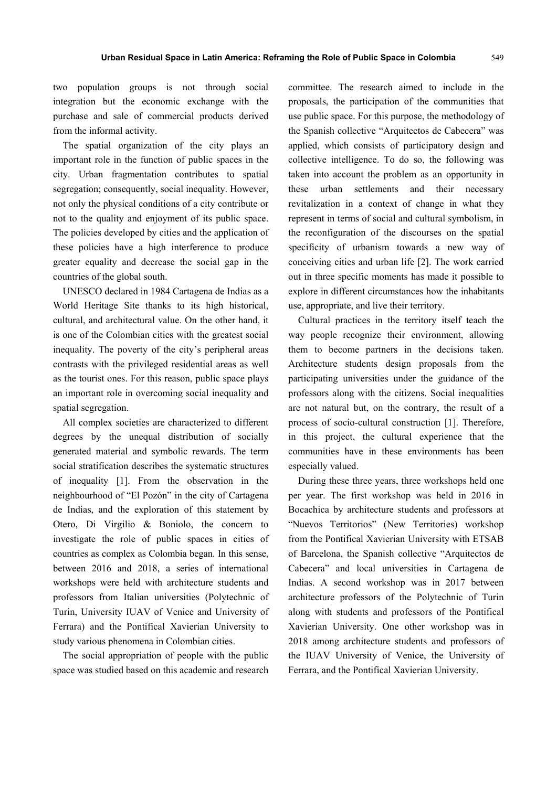two population groups is not through social integration but the economic exchange with the purchase and sale of commercial products derived from the informal activity.

The spatial organization of the city plays an important role in the function of public spaces in the city. Urban fragmentation contributes to spatial segregation; consequently, social inequality. However, not only the physical conditions of a city contribute or not to the quality and enjoyment of its public space. The policies developed by cities and the application of these policies have a high interference to produce greater equality and decrease the social gap in the countries of the global south.

UNESCO declared in 1984 Cartagena de Indias as a World Heritage Site thanks to its high historical, cultural, and architectural value. On the other hand, it is one of the Colombian cities with the greatest social inequality. The poverty of the city's peripheral areas contrasts with the privileged residential areas as well as the tourist ones. For this reason, public space plays an important role in overcoming social inequality and spatial segregation.

All complex societies are characterized to different degrees by the unequal distribution of socially generated material and symbolic rewards. The term social stratification describes the systematic structures of inequality [1]. From the observation in the neighbourhood of "El Pozón" in the city of Cartagena de Indias, and the exploration of this statement by Otero, Di Virgilio & Boniolo, the concern to investigate the role of public spaces in cities of countries as complex as Colombia began. In this sense, between 2016 and 2018, a series of international workshops were held with architecture students and professors from Italian universities (Polytechnic of Turin, University IUAV of Venice and University of Ferrara) and the Pontifical Xavierian University to study various phenomena in Colombian cities.

The social appropriation of people with the public space was studied based on this academic and research committee. The research aimed to include in the proposals, the participation of the communities that use public space. For this purpose, the methodology of the Spanish collective "Arquitectos de Cabecera" was applied, which consists of participatory design and collective intelligence. To do so, the following was taken into account the problem as an opportunity in these urban settlements and their necessary revitalization in a context of change in what they represent in terms of social and cultural symbolism, in the reconfiguration of the discourses on the spatial specificity of urbanism towards a new way of conceiving cities and urban life [2]. The work carried out in three specific moments has made it possible to explore in different circumstances how the inhabitants use, appropriate, and live their territory.

Cultural practices in the territory itself teach the way people recognize their environment, allowing them to become partners in the decisions taken. Architecture students design proposals from the participating universities under the guidance of the professors along with the citizens. Social inequalities are not natural but, on the contrary, the result of a process of socio-cultural construction [1]. Therefore, in this project, the cultural experience that the communities have in these environments has been especially valued.

During these three years, three workshops held one per year. The first workshop was held in 2016 in Bocachica by architecture students and professors at "Nuevos Territorios" (New Territories) workshop from the Pontifical Xavierian University with ETSAB of Barcelona, the Spanish collective "Arquitectos de Cabecera" and local universities in Cartagena de Indias. A second workshop was in 2017 between architecture professors of the Polytechnic of Turin along with students and professors of the Pontifical Xavierian University. One other workshop was in 2018 among architecture students and professors of the IUAV University of Venice, the University of Ferrara, and the Pontifical Xavierian University.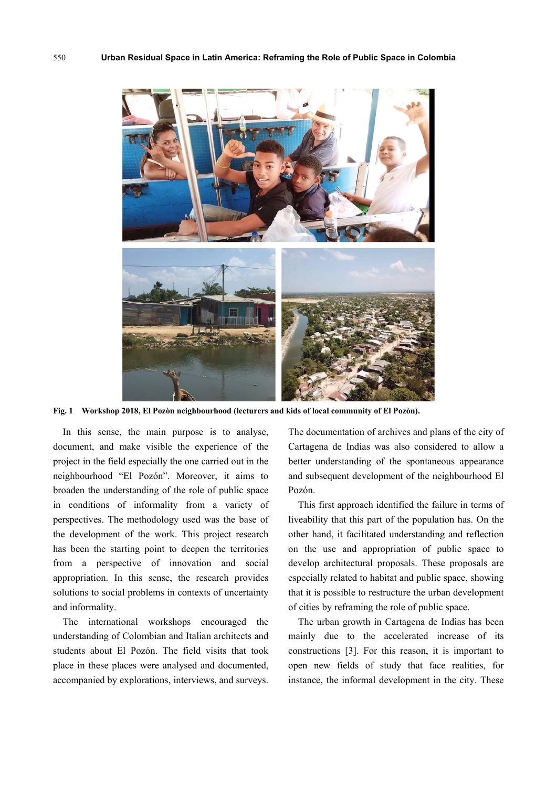

**Fig. 1 Workshop 2018, El Pozòn neighbourhood (lecturers and kids of local community of El Pozòn).** 

In this sense, the main purpose is to analyse, document, and make visible the experience of the project in the field especially the one carried out in the neighbourhood "El Pozón". Moreover, it aims to broaden the understanding of the role of public space in conditions of informality from a variety of perspectives. The methodology used was the base of the development of the work. This project research has been the starting point to deepen the territories from a perspective of innovation and social appropriation. In this sense, the research provides solutions to social problems in contexts of uncertainty and informality.

The international workshops encouraged the understanding of Colombian and Italian architects and students about El Pozón. The field visits that took place in these places were analysed and documented, accompanied by explorations, interviews, and surveys. The documentation of archives and plans of the city of Cartagena de Indias was also considered to allow a better understanding of the spontaneous appearance and subsequent development of the neighbourhood El Pozón.

This first approach identified the failure in terms of liveability that this part of the population has. On the other hand, it facilitated understanding and reflection on the use and appropriation of public space to develop architectural proposals. These proposals are especially related to habitat and public space, showing that it is possible to restructure the urban development of cities by reframing the role of public space.

The urban growth in Cartagena de Indias has been mainly due to the accelerated increase of its constructions [3]. For this reason, it is important to open new fields of study that face realities, for instance, the informal development in the city. These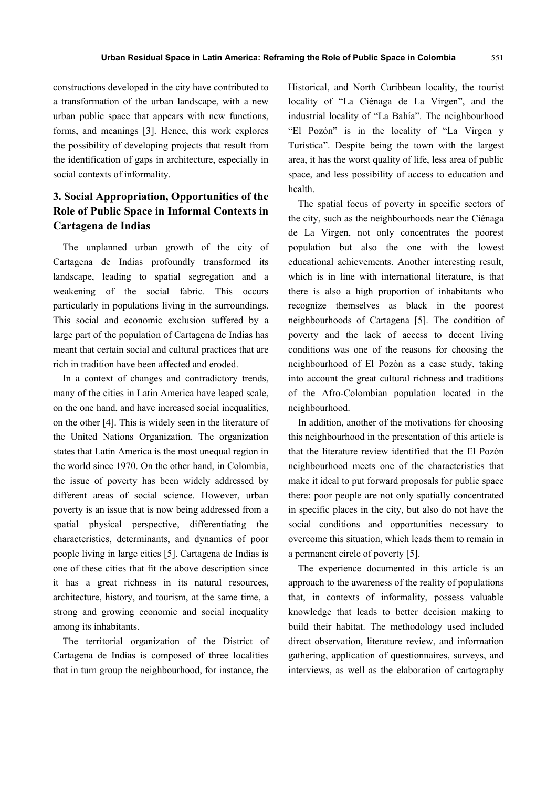constructions developed in the city have contributed to a transformation of the urban landscape, with a new urban public space that appears with new functions, forms, and meanings [3]. Hence, this work explores the possibility of developing projects that result from the identification of gaps in architecture, especially in social contexts of informality.

# **3. Social Appropriation, Opportunities of the Role of Public Space in Informal Contexts in Cartagena de Indias**

The unplanned urban growth of the city of Cartagena de Indias profoundly transformed its landscape, leading to spatial segregation and a weakening of the social fabric. This occurs particularly in populations living in the surroundings. This social and economic exclusion suffered by a large part of the population of Cartagena de Indias has meant that certain social and cultural practices that are rich in tradition have been affected and eroded.

In a context of changes and contradictory trends, many of the cities in Latin America have leaped scale, on the one hand, and have increased social inequalities, on the other [4]. This is widely seen in the literature of the United Nations Organization. The organization states that Latin America is the most unequal region in the world since 1970. On the other hand, in Colombia, the issue of poverty has been widely addressed by different areas of social science. However, urban poverty is an issue that is now being addressed from a spatial physical perspective, differentiating the characteristics, determinants, and dynamics of poor people living in large cities [5]. Cartagena de Indias is one of these cities that fit the above description since it has a great richness in its natural resources, architecture, history, and tourism, at the same time, a strong and growing economic and social inequality among its inhabitants.

The territorial organization of the District of Cartagena de Indias is composed of three localities that in turn group the neighbourhood, for instance, the

Historical, and North Caribbean locality, the tourist locality of "La Ciénaga de La Virgen", and the industrial locality of "La Bahía". The neighbourhood "El Pozón" is in the locality of "La Virgen y Turística". Despite being the town with the largest area, it has the worst quality of life, less area of public space, and less possibility of access to education and health.

The spatial focus of poverty in specific sectors of the city, such as the neighbourhoods near the Ciénaga de La Virgen, not only concentrates the poorest population but also the one with the lowest educational achievements. Another interesting result, which is in line with international literature, is that there is also a high proportion of inhabitants who recognize themselves as black in the poorest neighbourhoods of Cartagena [5]. The condition of poverty and the lack of access to decent living conditions was one of the reasons for choosing the neighbourhood of El Pozón as a case study, taking into account the great cultural richness and traditions of the Afro-Colombian population located in the neighbourhood.

In addition, another of the motivations for choosing this neighbourhood in the presentation of this article is that the literature review identified that the El Pozón neighbourhood meets one of the characteristics that make it ideal to put forward proposals for public space there: poor people are not only spatially concentrated in specific places in the city, but also do not have the social conditions and opportunities necessary to overcome this situation, which leads them to remain in a permanent circle of poverty [5].

The experience documented in this article is an approach to the awareness of the reality of populations that, in contexts of informality, possess valuable knowledge that leads to better decision making to build their habitat. The methodology used included direct observation, literature review, and information gathering, application of questionnaires, surveys, and interviews, as well as the elaboration of cartography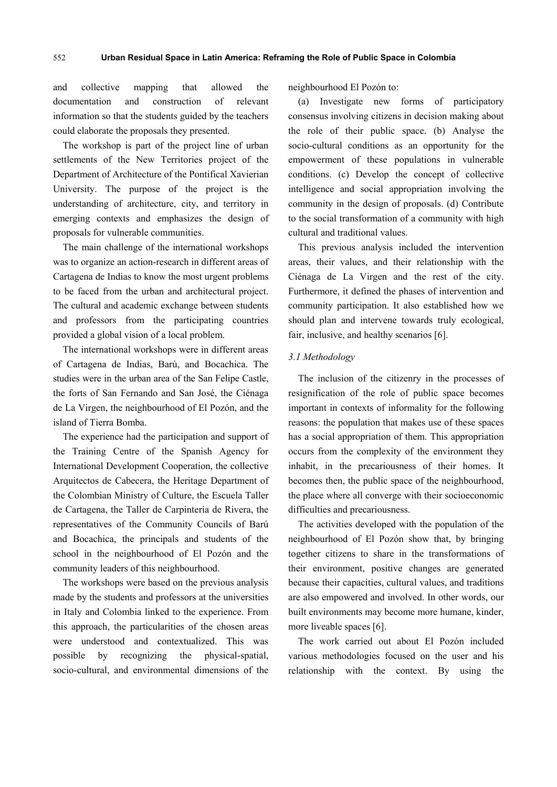and collective mapping that allowed the documentation and construction of relevant information so that the students guided by the teachers could elaborate the proposals they presented.

The workshop is part of the project line of urban settlements of the New Territories project of the Department of Architecture of the Pontifical Xavierian University. The purpose of the project is the understanding of architecture, city, and territory in emerging contexts and emphasizes the design of proposals for vulnerable communities.

The main challenge of the international workshops was to organize an action-research in different areas of Cartagena de Indias to know the most urgent problems to be faced from the urban and architectural project. The cultural and academic exchange between students and professors from the participating countries provided a global vision of a local problem.

The international workshops were in different areas of Cartagena de Indias, Barù, and Bocachica. The studies were in the urban area of the San Felipe Castle, the forts of San Fernando and San José, the Ciénaga de La Virgen, the neighbourhood of El Pozón, and the island of Tierra Bomba.

The experience had the participation and support of the Training Centre of the Spanish Agency for International Development Cooperation, the collective Arquitectos de Cabecera, the Heritage Department of the Colombian Ministry of Culture, the Escuela Taller de Cartagena, the Taller de Carpintería de Rivera, the representatives of the Community Councils of Barú and Bocachica, the principals and students of the school in the neighbourhood of El Pozón and the community leaders of this neighbourhood.

The workshops were based on the previous analysis made by the students and professors at the universities in Italy and Colombia linked to the experience. From this approach, the particularities of the chosen areas were understood and contextualized. This was possible by recognizing the physical-spatial, socio-cultural, and environmental dimensions of the neighbourhood El Pozón to:

(a) Investigate new forms of participatory consensus involving citizens in decision making about the role of their public space. (b) Analyse the socio-cultural conditions as an opportunity for the empowerment of these populations in vulnerable conditions. (c) Develop the concept of collective intelligence and social appropriation involving the community in the design of proposals. (d) Contribute to the social transformation of a community with high cultural and traditional values.

This previous analysis included the intervention areas, their values, and their relationship with the Ciénaga de La Virgen and the rest of the city. Furthermore, it defined the phases of intervention and community participation. It also established how we should plan and intervene towards truly ecological, fair, inclusive, and healthy scenarios [6].

#### *3.1 Methodology*

The inclusion of the citizenry in the processes of resignification of the role of public space becomes important in contexts of informality for the following reasons: the population that makes use of these spaces has a social appropriation of them. This appropriation occurs from the complexity of the environment they inhabit, in the precariousness of their homes. It becomes then, the public space of the neighbourhood, the place where all converge with their socioeconomic difficulties and precariousness.

The activities developed with the population of the neighbourhood of El Pozón show that, by bringing together citizens to share in the transformations of their environment, positive changes are generated because their capacities, cultural values, and traditions are also empowered and involved. In other words, our built environments may become more humane, kinder, more liveable spaces [6].

The work carried out about El Pozón included various methodologies focused on the user and his relationship with the context. By using the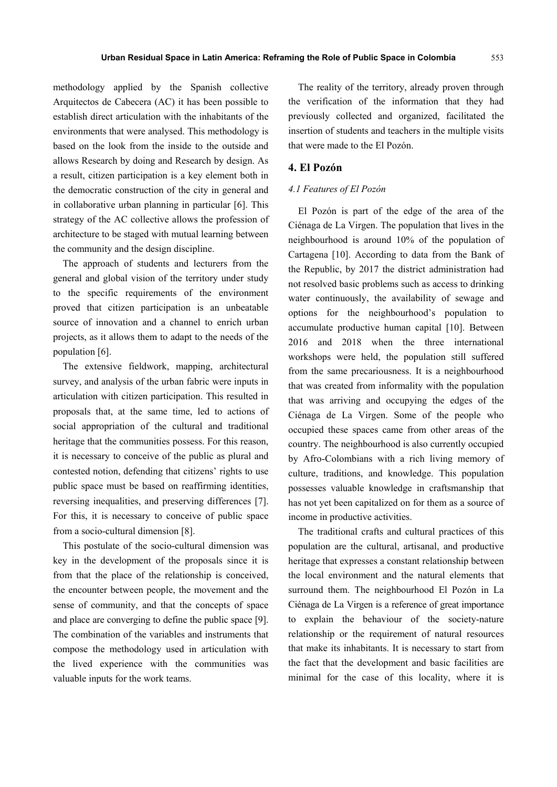methodology applied by the Spanish collective Arquitectos de Cabecera (AC) it has been possible to establish direct articulation with the inhabitants of the environments that were analysed. This methodology is based on the look from the inside to the outside and allows Research by doing and Research by design. As a result, citizen participation is a key element both in the democratic construction of the city in general and in collaborative urban planning in particular [6]. This strategy of the AC collective allows the profession of architecture to be staged with mutual learning between the community and the design discipline.

The approach of students and lecturers from the general and global vision of the territory under study to the specific requirements of the environment proved that citizen participation is an unbeatable source of innovation and a channel to enrich urban projects, as it allows them to adapt to the needs of the population [6].

The extensive fieldwork, mapping, architectural survey, and analysis of the urban fabric were inputs in articulation with citizen participation. This resulted in proposals that, at the same time, led to actions of social appropriation of the cultural and traditional heritage that the communities possess. For this reason, it is necessary to conceive of the public as plural and contested notion, defending that citizens' rights to use public space must be based on reaffirming identities, reversing inequalities, and preserving differences [7]. For this, it is necessary to conceive of public space from a socio-cultural dimension [8].

This postulate of the socio-cultural dimension was key in the development of the proposals since it is from that the place of the relationship is conceived, the encounter between people, the movement and the sense of community, and that the concepts of space and place are converging to define the public space [9]. The combination of the variables and instruments that compose the methodology used in articulation with the lived experience with the communities was valuable inputs for the work teams.

The reality of the territory, already proven through the verification of the information that they had previously collected and organized, facilitated the insertion of students and teachers in the multiple visits that were made to the El Pozón.

#### **4. El Pozón**

#### *4.1 Features of El Pozón*

El Pozón is part of the edge of the area of the Ciénaga de La Virgen. The population that lives in the neighbourhood is around 10% of the population of Cartagena [10]. According to data from the Bank of the Republic, by 2017 the district administration had not resolved basic problems such as access to drinking water continuously, the availability of sewage and options for the neighbourhood's population to accumulate productive human capital [10]. Between 2016 and 2018 when the three international workshops were held, the population still suffered from the same precariousness. It is a neighbourhood that was created from informality with the population that was arriving and occupying the edges of the Ciénaga de La Virgen. Some of the people who occupied these spaces came from other areas of the country. The neighbourhood is also currently occupied by Afro-Colombians with a rich living memory of culture, traditions, and knowledge. This population possesses valuable knowledge in craftsmanship that has not yet been capitalized on for them as a source of income in productive activities.

The traditional crafts and cultural practices of this population are the cultural, artisanal, and productive heritage that expresses a constant relationship between the local environment and the natural elements that surround them. The neighbourhood El Pozón in La Ciénaga de La Virgen is a reference of great importance to explain the behaviour of the society-nature relationship or the requirement of natural resources that make its inhabitants. It is necessary to start from the fact that the development and basic facilities are minimal for the case of this locality, where it is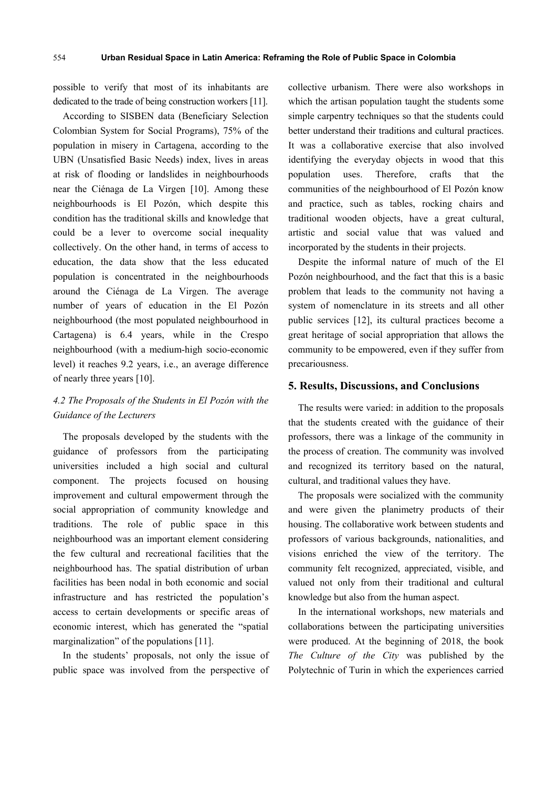possible to verify that most of its inhabitants are dedicated to the trade of being construction workers [11].

According to SISBEN data (Beneficiary Selection Colombian System for Social Programs), 75% of the population in misery in Cartagena, according to the UBN (Unsatisfied Basic Needs) index, lives in areas at risk of flooding or landslides in neighbourhoods near the Ciénaga de La Virgen [10]. Among these neighbourhoods is El Pozón, which despite this condition has the traditional skills and knowledge that could be a lever to overcome social inequality collectively. On the other hand, in terms of access to education, the data show that the less educated population is concentrated in the neighbourhoods around the Ciénaga de La Virgen. The average number of years of education in the El Pozón neighbourhood (the most populated neighbourhood in Cartagena) is 6.4 years, while in the Crespo neighbourhood (with a medium-high socio-economic level) it reaches 9.2 years, i.e., an average difference of nearly three years [10].

### *4.2 The Proposals of the Students in El Pozón with the Guidance of the Lecturers*

The proposals developed by the students with the guidance of professors from the participating universities included a high social and cultural component. The projects focused on housing improvement and cultural empowerment through the social appropriation of community knowledge and traditions. The role of public space in this neighbourhood was an important element considering the few cultural and recreational facilities that the neighbourhood has. The spatial distribution of urban facilities has been nodal in both economic and social infrastructure and has restricted the population's access to certain developments or specific areas of economic interest, which has generated the "spatial marginalization" of the populations [11].

In the students' proposals, not only the issue of public space was involved from the perspective of collective urbanism. There were also workshops in which the artisan population taught the students some simple carpentry techniques so that the students could better understand their traditions and cultural practices. It was a collaborative exercise that also involved identifying the everyday objects in wood that this population uses. Therefore, crafts that the communities of the neighbourhood of El Pozón know and practice, such as tables, rocking chairs and traditional wooden objects, have a great cultural, artistic and social value that was valued and incorporated by the students in their projects.

Despite the informal nature of much of the El Pozón neighbourhood, and the fact that this is a basic problem that leads to the community not having a system of nomenclature in its streets and all other public services [12], its cultural practices become a great heritage of social appropriation that allows the community to be empowered, even if they suffer from precariousness.

#### **5. Results, Discussions, and Conclusions**

The results were varied: in addition to the proposals that the students created with the guidance of their professors, there was a linkage of the community in the process of creation. The community was involved and recognized its territory based on the natural, cultural, and traditional values they have.

The proposals were socialized with the community and were given the planimetry products of their housing. The collaborative work between students and professors of various backgrounds, nationalities, and visions enriched the view of the territory. The community felt recognized, appreciated, visible, and valued not only from their traditional and cultural knowledge but also from the human aspect.

In the international workshops, new materials and collaborations between the participating universities were produced. At the beginning of 2018, the book *The Culture of the City* was published by the Polytechnic of Turin in which the experiences carried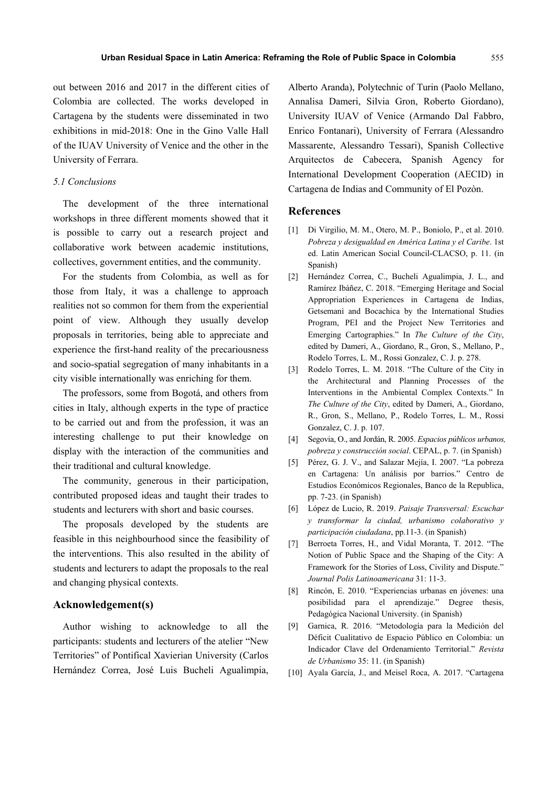out between 2016 and 2017 in the different cities of Colombia are collected. The works developed in Cartagena by the students were disseminated in two exhibitions in mid-2018: One in the Gino Valle Hall of the IUAV University of Venice and the other in the University of Ferrara.

#### *5.1 Conclusions*

The development of the three international workshops in three different moments showed that it is possible to carry out a research project and collaborative work between academic institutions, collectives, government entities, and the community.

For the students from Colombia, as well as for those from Italy, it was a challenge to approach realities not so common for them from the experiential point of view. Although they usually develop proposals in territories, being able to appreciate and experience the first-hand reality of the precariousness and socio-spatial segregation of many inhabitants in a city visible internationally was enriching for them.

The professors, some from Bogotá, and others from cities in Italy, although experts in the type of practice to be carried out and from the profession, it was an interesting challenge to put their knowledge on display with the interaction of the communities and their traditional and cultural knowledge.

The community, generous in their participation, contributed proposed ideas and taught their trades to students and lecturers with short and basic courses.

The proposals developed by the students are feasible in this neighbourhood since the feasibility of the interventions. This also resulted in the ability of students and lecturers to adapt the proposals to the real and changing physical contexts.

#### **Acknowledgement(s)**

Author wishing to acknowledge to all the participants: students and lecturers of the atelier "New Territories" of Pontifical Xavierian University (Carlos Hernández Correa, José Luis Bucheli Agualimpia, Alberto Aranda), Polytechnic of Turin (Paolo Mellano, Annalisa Dameri, Silvia Gron, Roberto Giordano), University IUAV of Venice (Armando Dal Fabbro, Enrico Fontanari), University of Ferrara (Alessandro Massarente, Alessandro Tessari), Spanish Collective Arquitectos de Cabecera, Spanish Agency for International Development Cooperation (AECID) in Cartagena de Indias and Community of El Pozòn.

#### **References**

- [1] Di Virgilio, M. M., Otero, M. P., Boniolo, P., et al. 2010. *Pobreza y desigualdad en América Latina y el Caribe*. 1st ed. Latin American Social Council-CLACSO, p. 11. (in Spanish)
- [2] Hernández Correa, C., Bucheli Agualimpia, J. L., and Ramírez Ibàñez, C. 2018. "Emerging Heritage and Social Appropriation Experiences in Cartagena de Indias, Getsemanì and Bocachica by the International Studies Program, PEI and the Project New Territories and Emerging Cartographies." In *The Culture of the City*, edited by Dameri, A., Giordano, R., Gron, S., Mellano, P., Rodelo Torres, L. M., Rossi Gonzalez, C. J. p. 278.
- [3] Rodelo Torres, L. M. 2018. "The Culture of the City in the Architectural and Planning Processes of the Interventions in the Ambiental Complex Contexts." In *The Culture of the City*, edited by Dameri, A., Giordano, R., Gron, S., Mellano, P., Rodelo Torres, L. M., Rossi Gonzalez, C. J. p. 107.
- [4] Segovia, O., and Jordán, R. 2005. *Espacios públicos urbanos, pobreza y construcción social*. CEPAL, p. 7. (in Spanish)
- [5] Pérez, G. J. V., and Salazar Mejía, I. 2007. "La pobreza en Cartagena: Un análisis por barrios." Centro de Estudios Económicos Regionales, Banco de la Republica, pp. 7-23. (in Spanish)
- [6] López de Lucio, R. 2019. *Paisaje Transversal: Escuchar y transformar la ciudad, urbanismo colaborativo y participación ciudadana*, pp.11-3. (in Spanish)
- [7] Berroeta Torres, H., and Vidal Moranta, T. 2012. "The Notion of Public Space and the Shaping of the City: A Framework for the Stories of Loss, Civility and Dispute." *Journal Polis Latinoamericana* 31: 11-3.
- [8] Rincón, E. 2010. "Experiencias urbanas en jóvenes: una posibilidad para el aprendizaje." Degree thesis, Pedagógica Nacional University. (in Spanish)
- [9] Garnica, R. 2016. "Metodología para la Medición del Déficit Cualitativo de Espacio Público en Colombia: un Indicador Clave del Ordenamiento Territorial." *Revista de Urbanismo* 35: 11. (in Spanish)
- [10] Ayala García, J., and Meisel Roca, A. 2017. "Cartagena